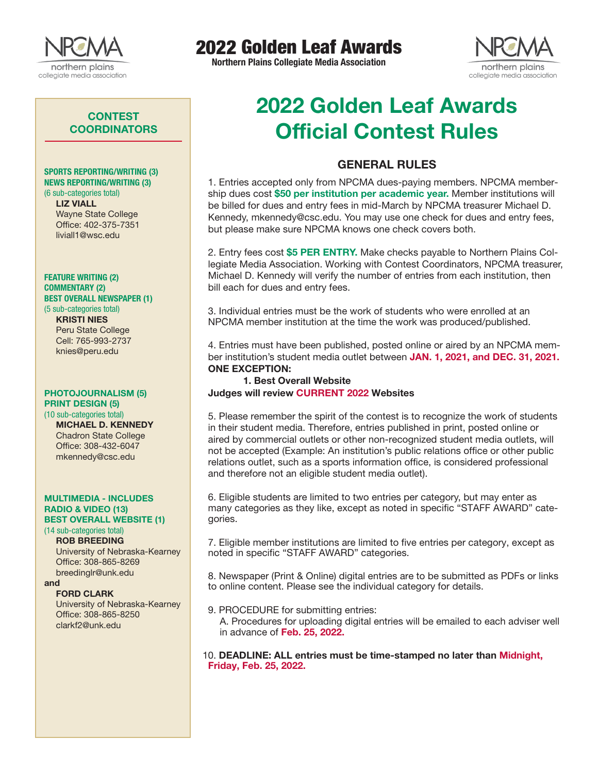

## 2022 Golden Leaf Awards

**Northern Plains Collegiate Media Association**



## **CONTEST COORDINATORS**

#### SPORTS REPORTING/WRITING (3) NEWS REPORTING/WRITING (3) (6 sub-categories total)

LIZ VIALL Wayne State College Office: 402-375-7351 liviall1@wsc.edu

#### FEATURE WRITING (2) COMMENTARY (2) BEST OVERALL NEWSPAPER (1)

(5 sub-categories total) KRISTI NIES Peru State College Cell: 765-993-2737 knies@peru.edu

#### PHOTOJOURNALISM (5) PRINT DESIGN (5)

(10 sub-categories total) MICHAEL D. KENNEDY Chadron State College Office: 308-432-6047 mkennedy@csc.edu

#### MULTIMEDIA - INCLUDES RADIO & VIDEO (13) BEST OVERALL WEBSITE (1)

## (14 sub-categories total)

ROB BREEDING University of Nebraska-Kearney Office: 308-865-8269 breedinglr@unk.edu

#### and

FORD CLARK University of Nebraska-Kearney

Office: 308-865-8250 clarkf2@unk.edu

# 2022 Golden Leaf Awards Official Contest Rules

## GENERAL RULES

1. Entries accepted only from NPCMA dues-paying members. NPCMA membership dues cost \$50 per institution per academic year. Member institutions will be billed for dues and entry fees in mid-March by NPCMA treasurer Michael D. Kennedy, mkennedy@csc.edu. You may use one check for dues and entry fees, but please make sure NPCMA knows one check covers both.

2. Entry fees cost \$5 PER ENTRY. Make checks payable to Northern Plains Collegiate Media Association. Working with Contest Coordinators, NPCMA treasurer, Michael D. Kennedy will verify the number of entries from each institution, then bill each for dues and entry fees.

3. Individual entries must be the work of students who were enrolled at an NPCMA member institution at the time the work was produced/published.

4. Entries must have been published, posted online or aired by an NPCMA member institution's student media outlet between JAN. 1, 2021, and DEC. 31, 2021. ONE EXCEPTION:

### 1. Best Overall Website Judges will review CURRENT 2022 Websites

5. Please remember the spirit of the contest is to recognize the work of students in their student media. Therefore, entries published in print, posted online or aired by commercial outlets or other non-recognized student media outlets, will not be accepted (Example: An institution's public relations office or other public relations outlet, such as a sports information office, is considered professional and therefore not an eligible student media outlet).

6. Eligible students are limited to two entries per category, but may enter as many categories as they like, except as noted in specific "STAFF AWARD" categories.

7. Eligible member institutions are limited to five entries per category, except as noted in specific "STAFF AWARD" categories.

8. Newspaper (Print & Online) digital entries are to be submitted as PDFs or links to online content. Please see the individual category for details.

9. PROCEDURE for submitting entries:

A. Procedures for uploading digital entries will be emailed to each adviser well in advance of Feb. 25, 2022.

10. DEADLINE: ALL entries must be time-stamped no later than Midnight, Friday, Feb. 25, 2022.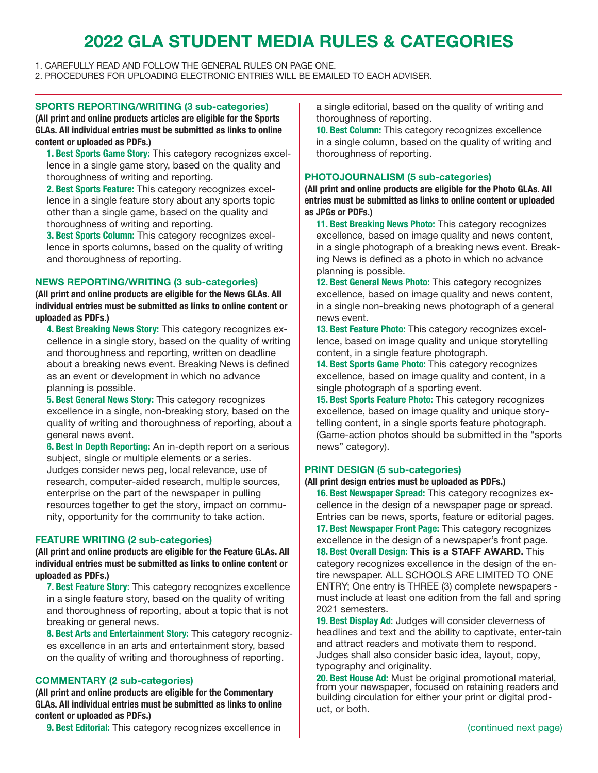## 2022 GLA STUDENT MEDIA RULES & CATEGORIES

1. CAREFULLY READ AND FOLLOW THE GENERAL RULES ON PAGE ONE.

2. PROCEDURES FOR UPLOADING ELECTRONIC ENTRIES WILL BE EMAILED TO EACH ADVISER.

#### SPORTS REPORTING/WRITING (3 sub-categories)

(All print and online products articles are eligible for the Sports GLAs. All individual entries must be submitted as links to online content or uploaded as PDFs.)

1. Best Sports Game Story: This category recognizes excellence in a single game story, based on the quality and thoroughness of writing and reporting.

2. Best Sports Feature: This category recognizes excellence in a single feature story about any sports topic other than a single game, based on the quality and thoroughness of writing and reporting.

3. Best Sports Column: This category recognizes excellence in sports columns, based on the quality of writing and thoroughness of reporting.

### NEWS REPORTING/WRITING (3 sub-categories)

(All print and online products are eligible for the News GLAs. All individual entries must be submitted as links to online content or uploaded as PDFs.)

4. Best Breaking News Story: This category recognizes excellence in a single story, based on the quality of writing and thoroughness and reporting, written on deadline about a breaking news event. Breaking News is defined as an event or development in which no advance planning is possible.

5. Best General News Story: This category recognizes excellence in a single, non-breaking story, based on the quality of writing and thoroughness of reporting, about a general news event.

6. Best In Depth Reporting: An in-depth report on a serious subject, single or multiple elements or a series. Judges consider news peg, local relevance, use of research, computer-aided research, multiple sources, enterprise on the part of the newspaper in pulling resources together to get the story, impact on community, opportunity for the community to take action.

## FEATURE WRITING (2 sub-categories)

(All print and online products are eligible for the Feature GLAs. All individual entries must be submitted as links to online content or uploaded as PDFs.)

7. Best Feature Story: This category recognizes excellence in a single feature story, based on the quality of writing and thoroughness of reporting, about a topic that is not breaking or general news.

8. Best Arts and Entertainment Story: This category recognizes excellence in an arts and entertainment story, based on the quality of writing and thoroughness of reporting.

## COMMENTARY (2 sub-categories)

(All print and online products are eligible for the Commentary GLAs. All individual entries must be submitted as links to online content or uploaded as PDFs.)

9. Best Editorial: This category recognizes excellence in

a single editorial, based on the quality of writing and thoroughness of reporting.

10. Best Column: This category recognizes excellence in a single column, based on the quality of writing and thoroughness of reporting.

### PHOTOJOURNALISM (5 sub-categories)

(All print and online products are eligible for the Photo GLAs. All entries must be submitted as links to online content or uploaded as JPGs or PDFs.)

11. Best Breaking News Photo: This category recognizes excellence, based on image quality and news content, in a single photograph of a breaking news event. Breaking News is defined as a photo in which no advance planning is possible.

12. Best General News Photo: This category recognizes excellence, based on image quality and news content, in a single non-breaking news photograph of a general news event.

13. Best Feature Photo: This category recognizes excellence, based on image quality and unique storytelling content, in a single feature photograph.

14. Best Sports Game Photo: This category recognizes excellence, based on image quality and content, in a single photograph of a sporting event.

15. Best Sports Feature Photo: This category recognizes excellence, based on image quality and unique storytelling content, in a single sports feature photograph. (Game-action photos should be submitted in the "sports news" category).

## PRINT DESIGN (5 sub-categories)

#### (All print design entries must be uploaded as PDFs.)

16. Best Newspaper Spread: This category recognizes excellence in the design of a newspaper page or spread. Entries can be news, sports, feature or editorial pages. 17. Best Newspaper Front Page: This category recognizes excellence in the design of a newspaper's front page. 18. Best Overall Design: This is a STAFF AWARD. This category recognizes excellence in the design of the entire newspaper. ALL SCHOOLS ARE LIMITED TO ONE ENTRY; One entry is THREE (3) complete newspapers must include at least one edition from the fall and spring 2021 semesters.

19. Best Display Ad: Judges will consider cleverness of headlines and text and the ability to captivate, enter-tain and attract readers and motivate them to respond. Judges shall also consider basic idea, layout, copy, typography and originality.

20. Best House Ad: Must be original promotional material, from your newspaper, focused on retaining readers and building circulation for either your print or digital product, or both.